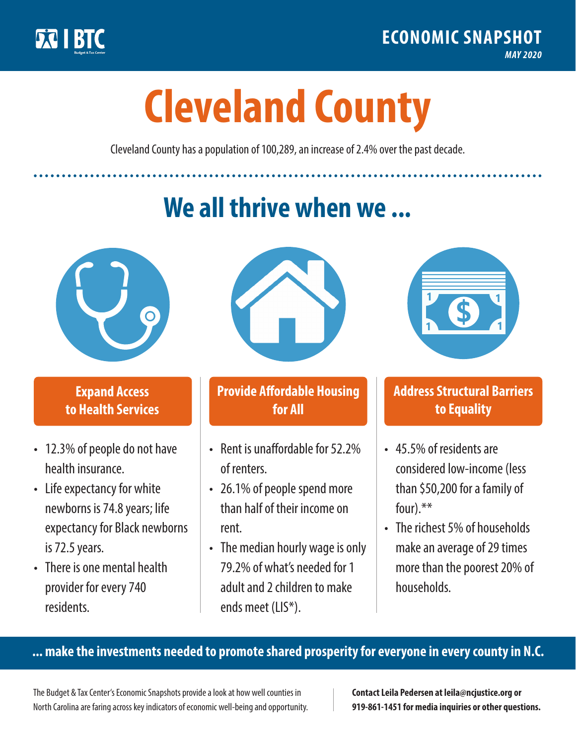

**1**

# **Cleveland County**

Cleveland County has a population of 100,289, an increase of 2.4% over the past decade.

# **We all thrive when we ...**



**\$ <sup>1</sup>**

**\$ <sup>1</sup>**

## **Expand Access to Health Services**

- 12.3% of people do not have health insurance.
- Life expectancy for white newborns is 74.8years; life expectancy for Black newborns is 72.5 years.
- There is one mental health provider for every 740 residents.



## **Provide Affordable Housing for All**

- Rent is unaffordable for 52.2% of renters.
- 26.1% of people spend more than half of their income on rent.
- The median hourly wage is only 79.2% of what's needed for 1 adult and 2 children to make ends meet (LIS\*).



## **Address Structural Barriers to Equality**

- 45.5% of residents are considered low-income (less than \$50,200 for a family of four).\*\*
- The richest 5% of households make an average of 29 times more than the poorest 20% of households.

#### **... make the investments needed to promote shared prosperity for everyone in every county in N.C.**

The Budget & Tax Center's Economic Snapshots provide a look at how well counties in North Carolina are faring across key indicators of economic well-being and opportunity.